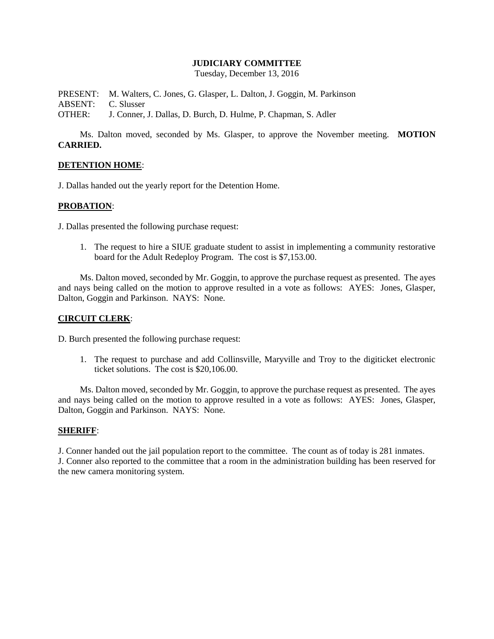### **JUDICIARY COMMITTEE**

Tuesday, December 13, 2016

PRESENT: M. Walters, C. Jones, G. Glasper, L. Dalton, J. Goggin, M. Parkinson ABSENT: C. Slusser OTHER: J. Conner, J. Dallas, D. Burch, D. Hulme, P. Chapman, S. Adler

Ms. Dalton moved, seconded by Ms. Glasper, to approve the November meeting. **MOTION CARRIED.**

#### **DETENTION HOME**:

J. Dallas handed out the yearly report for the Detention Home.

## **PROBATION**:

J. Dallas presented the following purchase request:

1. The request to hire a SIUE graduate student to assist in implementing a community restorative board for the Adult Redeploy Program. The cost is \$7,153.00.

Ms. Dalton moved, seconded by Mr. Goggin, to approve the purchase request as presented. The ayes and nays being called on the motion to approve resulted in a vote as follows: AYES: Jones, Glasper, Dalton, Goggin and Parkinson. NAYS: None.

#### **CIRCUIT CLERK**:

D. Burch presented the following purchase request:

1. The request to purchase and add Collinsville, Maryville and Troy to the digiticket electronic ticket solutions. The cost is \$20,106.00.

Ms. Dalton moved, seconded by Mr. Goggin, to approve the purchase request as presented. The ayes and nays being called on the motion to approve resulted in a vote as follows: AYES: Jones, Glasper, Dalton, Goggin and Parkinson. NAYS: None.

#### **SHERIFF**:

J. Conner handed out the jail population report to the committee. The count as of today is 281 inmates. J. Conner also reported to the committee that a room in the administration building has been reserved for the new camera monitoring system.